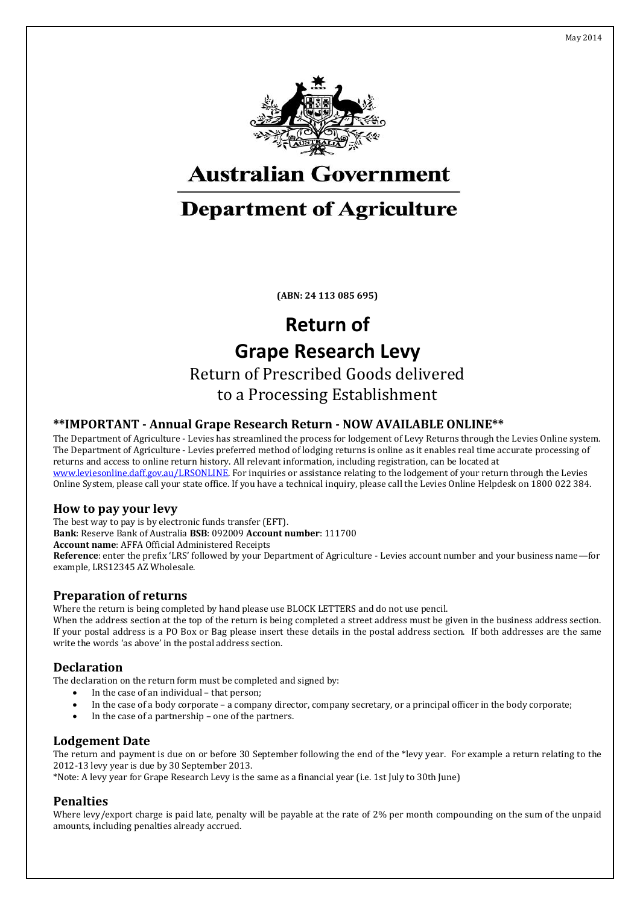



## **Australian Government**

## **Department of Agriculture**

**(ABN: 24 113 085 695)**

# **Return of Grape Research Levy**

Return of Prescribed Goods delivered to a Processing Establishment

#### **\*\*IMPORTANT - Annual Grape Research Return - NOW AVAILABLE ONLINE\*\***

The Department of Agriculture - Levies has streamlined the process for lodgement of Levy Returns through the Levies Online system. The Department of Agriculture - Levies preferred method of lodging returns is online as it enables real time accurate processing of returns and access to online return history. All relevant information, including registration, can be located at [www.leviesonline.daff.gov.au/LRSONLINE.](http://www.leviesonline.daff.gov.au/LRSONLINE) For inquiries or assistance relating to the lodgement of your return through the Levies Online System, please call your state office. If you have a technical inquiry, please call the Levies Online Helpdesk on 1800 022 384.

#### **How to pay your levy**

The best way to pay is by electronic funds transfer (EFT). **Bank**: Reserve Bank of Australia **BSB**: 092009 **Account number**: 111700 **Account name**: AFFA Official Administered Receipts **Reference**: enter the prefix 'LRS' followed by your Department of Agriculture - Levies account number and your business name—for example, LRS12345 AZ Wholesale.

#### **Preparation of returns**

Where the return is being completed by hand please use BLOCK LETTERS and do not use pencil.

When the address section at the top of the return is being completed a street address must be given in the business address section. If your postal address is a PO Box or Bag please insert these details in the postal address section. If both addresses are the same write the words 'as above' in the postal address section.

#### **Declaration**

The declaration on the return form must be completed and signed by:

- In the case of an individual that person;
- In the case of a body corporate a company director, company secretary, or a principal officer in the body corporate;
- In the case of a partnership one of the partners.

#### **Lodgement Date**

The return and payment is due on or before 30 September following the end of the \*levy year. For example a return relating to the 2012-13 levy year is due by 30 September 2013.

\*Note: A levy year for Grape Research Levy is the same as a financial year (i.e. 1st July to 30th June)

#### **Penalties**

Where levy/export charge is paid late, penalty will be payable at the rate of 2% per month compounding on the sum of the unpaid amounts, including penalties already accrued.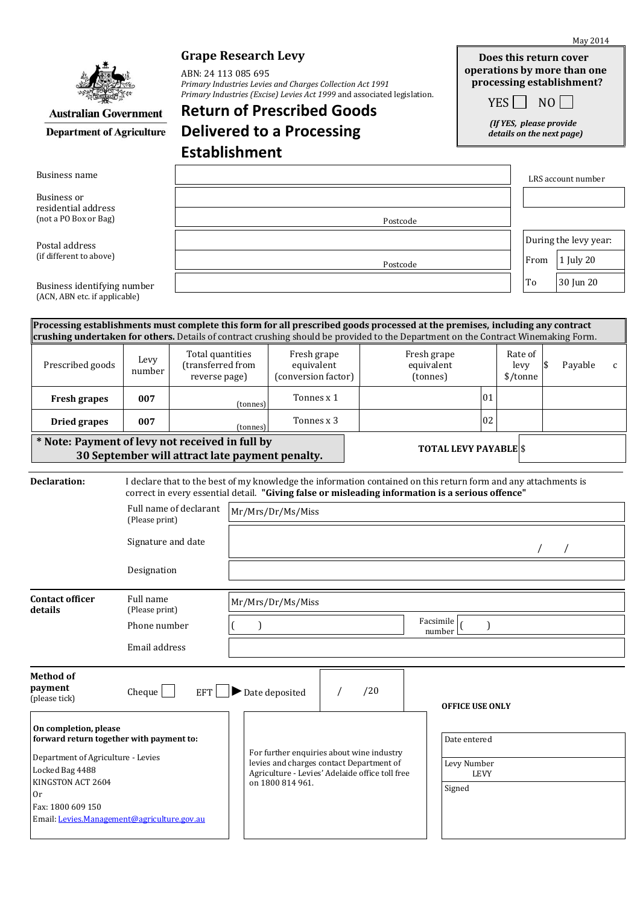|                                                                                                                                                                                                                                                                    | <b>Grape Research Levy</b><br>ABN: 24 113 085 695<br>Primary Industries Levies and Charges Collection Act 1991 |                                                                                                                                                             |                                                                                                                                                                                                                     |                                                  |  |                           |                              | Does this return cover<br>operations by more than one<br>processing establishment? |                    |                                                            |    |           |   |
|--------------------------------------------------------------------------------------------------------------------------------------------------------------------------------------------------------------------------------------------------------------------|----------------------------------------------------------------------------------------------------------------|-------------------------------------------------------------------------------------------------------------------------------------------------------------|---------------------------------------------------------------------------------------------------------------------------------------------------------------------------------------------------------------------|--------------------------------------------------|--|---------------------------|------------------------------|------------------------------------------------------------------------------------|--------------------|------------------------------------------------------------|----|-----------|---|
| <b>Australian Government</b><br><b>Department of Agriculture</b>                                                                                                                                                                                                   |                                                                                                                | Primary Industries (Excise) Levies Act 1999 and associated legislation.<br>YES    <br><b>Return of Prescribed Goods</b><br><b>Delivered to a Processing</b> |                                                                                                                                                                                                                     |                                                  |  |                           |                              |                                                                                    |                    | NO<br>(If YES, please provide<br>details on the next page) |    |           |   |
|                                                                                                                                                                                                                                                                    |                                                                                                                |                                                                                                                                                             |                                                                                                                                                                                                                     |                                                  |  |                           |                              |                                                                                    |                    |                                                            |    |           |   |
| Business name                                                                                                                                                                                                                                                      |                                                                                                                |                                                                                                                                                             |                                                                                                                                                                                                                     |                                                  |  |                           |                              |                                                                                    | LRS account number |                                                            |    |           |   |
| <b>Business</b> or<br>residential address<br>(not a PO Box or Bag)                                                                                                                                                                                                 |                                                                                                                |                                                                                                                                                             |                                                                                                                                                                                                                     |                                                  |  |                           |                              |                                                                                    |                    |                                                            |    |           |   |
|                                                                                                                                                                                                                                                                    |                                                                                                                | Postcode                                                                                                                                                    |                                                                                                                                                                                                                     |                                                  |  |                           |                              |                                                                                    |                    |                                                            |    |           |   |
| Postal address<br>(if different to above)<br>Business identifying number                                                                                                                                                                                           |                                                                                                                |                                                                                                                                                             |                                                                                                                                                                                                                     |                                                  |  |                           |                              |                                                                                    |                    | During the levy year:                                      |    |           |   |
|                                                                                                                                                                                                                                                                    |                                                                                                                | Postcode                                                                                                                                                    |                                                                                                                                                                                                                     |                                                  |  |                           |                              |                                                                                    |                    | From<br>1 July 20                                          |    |           |   |
|                                                                                                                                                                                                                                                                    |                                                                                                                |                                                                                                                                                             |                                                                                                                                                                                                                     |                                                  |  |                           |                              |                                                                                    |                    | To                                                         |    | 30 Jun 20 |   |
| (ACN, ABN etc. if applicable)                                                                                                                                                                                                                                      |                                                                                                                |                                                                                                                                                             |                                                                                                                                                                                                                     |                                                  |  |                           |                              |                                                                                    |                    |                                                            |    |           |   |
| Processing establishments must complete this form for all prescribed goods processed at the premises, including any contract<br>crushing undertaken for others. Details of contract crushing should be provided to the Department on the Contract Winemaking Form. |                                                                                                                |                                                                                                                                                             |                                                                                                                                                                                                                     |                                                  |  |                           |                              |                                                                                    |                    |                                                            |    |           |   |
| Prescribed goods                                                                                                                                                                                                                                                   | Levy<br>number                                                                                                 | Total quantities<br>(transferred from<br>reverse page)                                                                                                      |                                                                                                                                                                                                                     | Fresh grape<br>equivalent<br>(conversion factor) |  | Fresh grape<br>equivalent |                              |                                                                                    |                    | Rate of<br>levy                                            | \$ | Payable   | C |
|                                                                                                                                                                                                                                                                    | 007                                                                                                            |                                                                                                                                                             |                                                                                                                                                                                                                     |                                                  |  | (tonnes)                  |                              | 01                                                                                 | \$/tonne           |                                                            |    |           |   |
| <b>Fresh grapes</b>                                                                                                                                                                                                                                                |                                                                                                                | (tonnes)                                                                                                                                                    |                                                                                                                                                                                                                     | Tonnes x 1                                       |  |                           |                              | 02                                                                                 |                    |                                                            |    |           |   |
| 007<br><b>Dried grapes</b><br>* Note: Payment of levy not received in full by                                                                                                                                                                                      |                                                                                                                |                                                                                                                                                             | Tonnes x 3<br>(tonnes)                                                                                                                                                                                              |                                                  |  |                           |                              |                                                                                    |                    |                                                            |    |           |   |
|                                                                                                                                                                                                                                                                    |                                                                                                                | 30 September will attract late payment penalty.                                                                                                             |                                                                                                                                                                                                                     |                                                  |  |                           | <b>TOTAL LEVY PAYABLE</b> \$ |                                                                                    |                    |                                                            |    |           |   |
| Declaration:                                                                                                                                                                                                                                                       |                                                                                                                |                                                                                                                                                             | I declare that to the best of my knowledge the information contained on this return form and any attachments is<br>correct in every essential detail. "Giving false or misleading information is a serious offence" |                                                  |  |                           |                              |                                                                                    |                    |                                                            |    |           |   |
| Full name of declarant<br>(Please print)<br>Signature and date<br>Designation                                                                                                                                                                                      |                                                                                                                |                                                                                                                                                             | Mr/Mrs/Dr/Ms/Miss                                                                                                                                                                                                   |                                                  |  |                           |                              |                                                                                    |                    |                                                            |    |           |   |
|                                                                                                                                                                                                                                                                    |                                                                                                                |                                                                                                                                                             |                                                                                                                                                                                                                     |                                                  |  |                           |                              |                                                                                    |                    |                                                            |    |           |   |
|                                                                                                                                                                                                                                                                    |                                                                                                                |                                                                                                                                                             |                                                                                                                                                                                                                     |                                                  |  |                           |                              |                                                                                    |                    |                                                            |    |           |   |
| <b>Contact officer</b><br>details                                                                                                                                                                                                                                  | Full name<br>(Please print)                                                                                    |                                                                                                                                                             | Mr/Mrs/Dr/Ms/Miss                                                                                                                                                                                                   |                                                  |  |                           |                              |                                                                                    |                    |                                                            |    |           |   |
|                                                                                                                                                                                                                                                                    | Phone number                                                                                                   |                                                                                                                                                             | Facsimile r<br>$\mathcal{E}$<br>number                                                                                                                                                                              |                                                  |  |                           |                              |                                                                                    |                    |                                                            |    |           |   |
|                                                                                                                                                                                                                                                                    | Email address                                                                                                  |                                                                                                                                                             |                                                                                                                                                                                                                     |                                                  |  |                           |                              |                                                                                    |                    |                                                            |    |           |   |
| Method of<br>payment<br>(please tick)                                                                                                                                                                                                                              | Cheque                                                                                                         | <b>EFT</b>                                                                                                                                                  |                                                                                                                                                                                                                     | $\blacktriangleright$ Date deposited             |  | /20                       |                              | <b>OFFICE USE ONLY</b>                                                             |                    |                                                            |    |           |   |
| On completion, please<br>forward return together with payment to:                                                                                                                                                                                                  |                                                                                                                |                                                                                                                                                             | Date entered<br>For further enquiries about wine industry<br>levies and charges contact Department of<br>Levy Number<br>Agriculture - Levies' Adelaide office toll free<br>on 1800 814 961.<br>Signed               |                                                  |  |                           |                              |                                                                                    |                    |                                                            |    |           |   |
| Department of Agriculture - Levies<br>Locked Bag 4488<br>KINGSTON ACT 2604<br>0r                                                                                                                                                                                   |                                                                                                                |                                                                                                                                                             |                                                                                                                                                                                                                     |                                                  |  |                           |                              | <b>LEVY</b>                                                                        |                    |                                                            |    |           |   |
| Fax: 1800 609 150<br>Email: Levies.Management@agriculture.gov.au                                                                                                                                                                                                   |                                                                                                                |                                                                                                                                                             |                                                                                                                                                                                                                     |                                                  |  |                           |                              |                                                                                    |                    |                                                            |    |           |   |

May 2014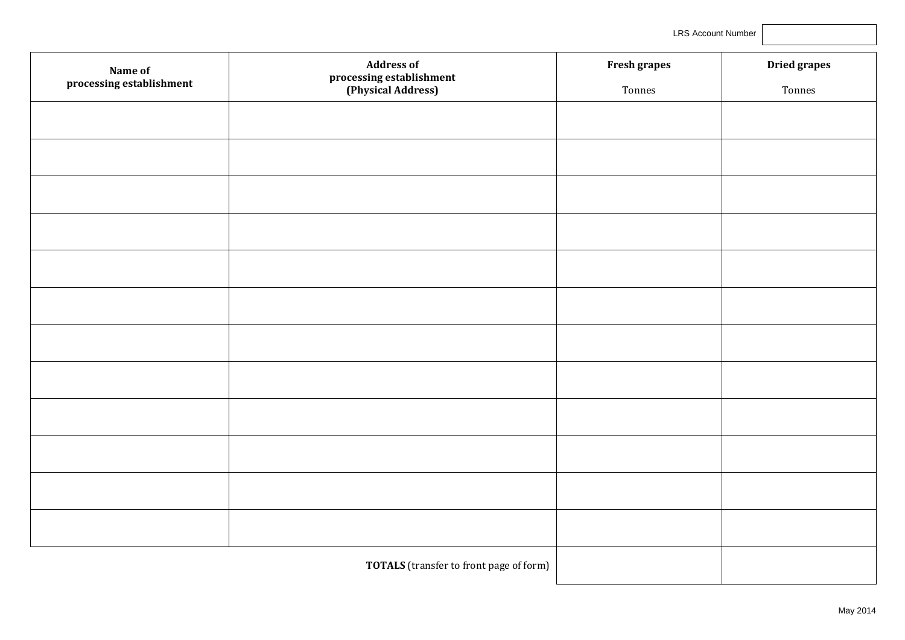LRS Account Number

| Name of                  | <b>Address of</b>                              | Fresh grapes | <b>Dried grapes</b> |
|--------------------------|------------------------------------------------|--------------|---------------------|
| processing establishment | processing establishment<br>(Physical Address) | Tonnes       | Tonnes              |
|                          |                                                |              |                     |
|                          |                                                |              |                     |
|                          |                                                |              |                     |
|                          |                                                |              |                     |
|                          |                                                |              |                     |
|                          |                                                |              |                     |
|                          |                                                |              |                     |
|                          |                                                |              |                     |
|                          |                                                |              |                     |
|                          |                                                |              |                     |
|                          |                                                |              |                     |
|                          |                                                |              |                     |
|                          | <b>TOTALS</b> (transfer to front page of form) |              |                     |